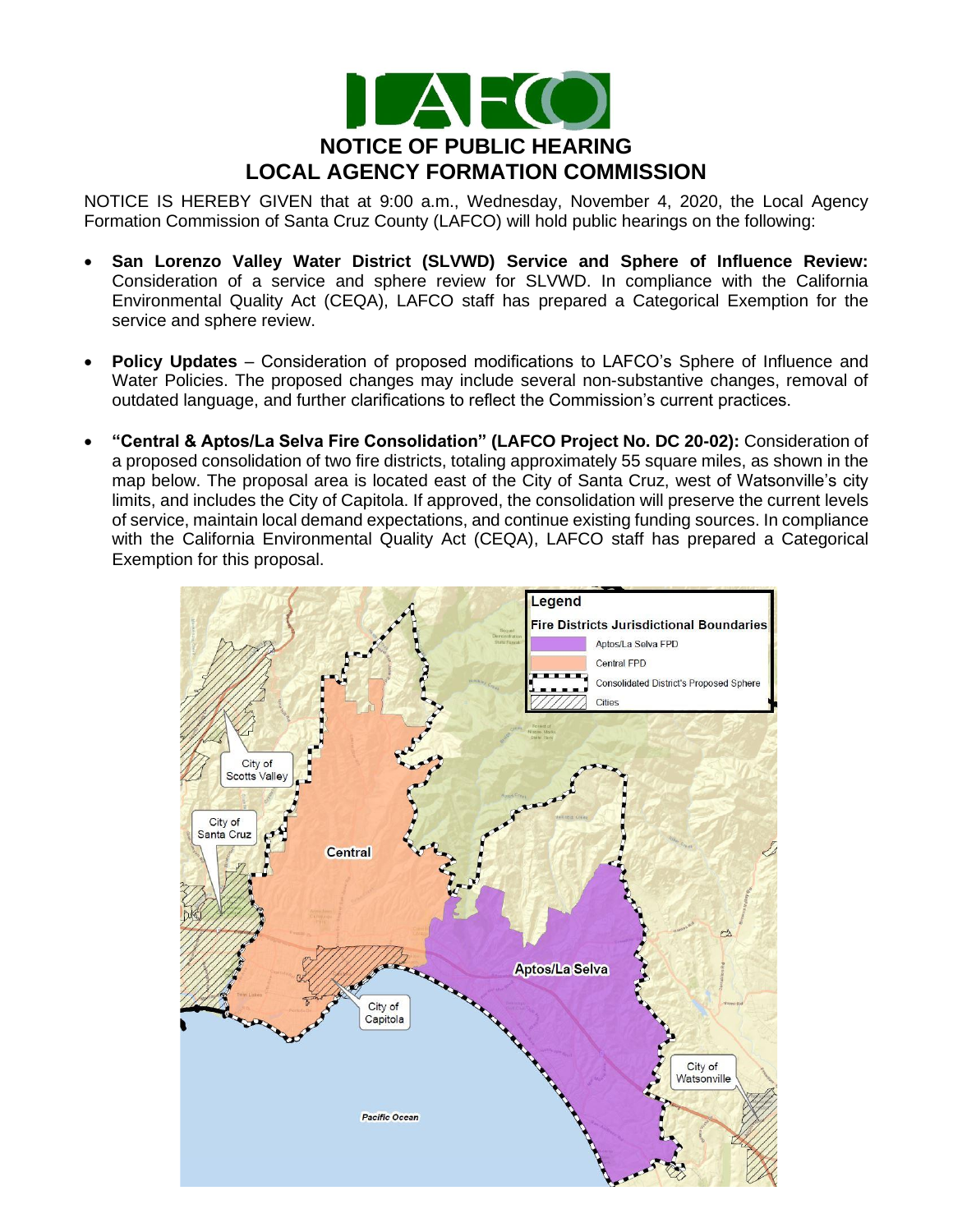

NOTICE IS HEREBY GIVEN that at 9:00 a.m., Wednesday, November 4, 2020, the Local Agency Formation Commission of Santa Cruz County (LAFCO) will hold public hearings on the following:

- **San Lorenzo Valley Water District (SLVWD) Service and Sphere of Influence Review:**  Consideration of a service and sphere review for SLVWD. In compliance with the California Environmental Quality Act (CEQA), LAFCO staff has prepared a Categorical Exemption for the service and sphere review.
- **Policy Updates** Consideration of proposed modifications to LAFCO's Sphere of Influence and Water Policies. The proposed changes may include several non-substantive changes, removal of outdated language, and further clarifications to reflect the Commission's current practices.
- **"Central & Aptos/La Selva Fire Consolidation" (LAFCO Project No. DC 20-02):** Consideration of a proposed consolidation of two fire districts, totaling approximately 55 square miles, as shown in the map below. The proposal area is located east of the City of Santa Cruz, west of Watsonville's city limits, and includes the City of Capitola. If approved, the consolidation will preserve the current levels of service, maintain local demand expectations, and continue existing funding sources. In compliance with the California Environmental Quality Act (CEQA), LAFCO staff has prepared a Categorical Exemption for this proposal.